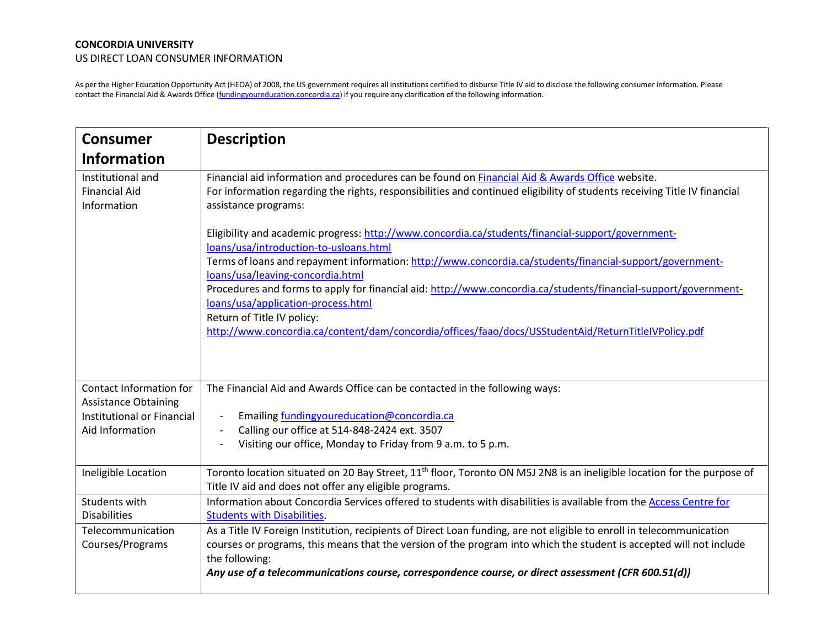| <b>Consumer</b>                                                                                         | <b>Description</b>                                                                                                                                                                                                                                                                                                                                                                                                                                                                                                                                                                                                                                                                                                                                                                                                                                 |
|---------------------------------------------------------------------------------------------------------|----------------------------------------------------------------------------------------------------------------------------------------------------------------------------------------------------------------------------------------------------------------------------------------------------------------------------------------------------------------------------------------------------------------------------------------------------------------------------------------------------------------------------------------------------------------------------------------------------------------------------------------------------------------------------------------------------------------------------------------------------------------------------------------------------------------------------------------------------|
| <b>Information</b>                                                                                      |                                                                                                                                                                                                                                                                                                                                                                                                                                                                                                                                                                                                                                                                                                                                                                                                                                                    |
| Institutional and<br><b>Financial Aid</b><br>Information                                                | Financial aid information and procedures can be found on Financial Aid & Awards Office website.<br>For information regarding the rights, responsibilities and continued eligibility of students receiving Title IV financial<br>assistance programs:<br>Eligibility and academic progress: http://www.concordia.ca/students/financial-support/government-<br>loans/usa/introduction-to-usloans.html<br>Terms of loans and repayment information: http://www.concordia.ca/students/financial-support/government-<br>loans/usa/leaving-concordia.html<br>Procedures and forms to apply for financial aid: http://www.concordia.ca/students/financial-support/government-<br>loans/usa/application-process.html<br>Return of Title IV policy:<br>http://www.concordia.ca/content/dam/concordia/offices/faao/docs/USStudentAid/ReturnTitleIVPolicy.pdf |
| Contact Information for<br><b>Assistance Obtaining</b><br>Institutional or Financial<br>Aid Information | The Financial Aid and Awards Office can be contacted in the following ways:<br>Emailing fundingyoureducation@concordia.ca<br>Calling our office at 514-848-2424 ext. 3507<br>Visiting our office, Monday to Friday from 9 a.m. to 5 p.m.                                                                                                                                                                                                                                                                                                                                                                                                                                                                                                                                                                                                           |
| Ineligible Location                                                                                     | Toronto location situated on 20 Bay Street, 11 <sup>th</sup> floor, Toronto ON M5J 2N8 is an ineligible location for the purpose of<br>Title IV aid and does not offer any eligible programs.                                                                                                                                                                                                                                                                                                                                                                                                                                                                                                                                                                                                                                                      |
| Students with<br><b>Disabilities</b>                                                                    | Information about Concordia Services offered to students with disabilities is available from the Access Centre for<br><b>Students with Disabilities.</b>                                                                                                                                                                                                                                                                                                                                                                                                                                                                                                                                                                                                                                                                                           |
| Telecommunication<br>Courses/Programs                                                                   | As a Title IV Foreign Institution, recipients of Direct Loan funding, are not eligible to enroll in telecommunication<br>courses or programs, this means that the version of the program into which the student is accepted will not include<br>the following:<br>Any use of a telecommunications course, correspondence course, or direct assessment (CFR 600.51(d))                                                                                                                                                                                                                                                                                                                                                                                                                                                                              |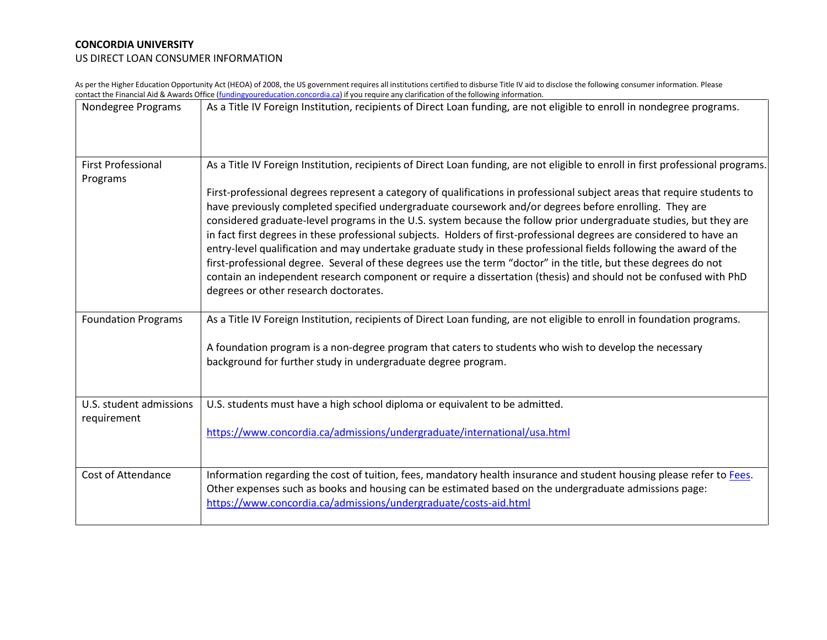| Nondegree Programs                     | As a Title IV Foreign Institution, recipients of Direct Loan funding, are not eligible to enroll in nondegree programs.                                                                                                                                                                                                                                                                                                                                                                                                                                                                                                                                                                                                                                                                                                                                                                  |
|----------------------------------------|------------------------------------------------------------------------------------------------------------------------------------------------------------------------------------------------------------------------------------------------------------------------------------------------------------------------------------------------------------------------------------------------------------------------------------------------------------------------------------------------------------------------------------------------------------------------------------------------------------------------------------------------------------------------------------------------------------------------------------------------------------------------------------------------------------------------------------------------------------------------------------------|
| <b>First Professional</b><br>Programs  | As a Title IV Foreign Institution, recipients of Direct Loan funding, are not eligible to enroll in first professional programs.                                                                                                                                                                                                                                                                                                                                                                                                                                                                                                                                                                                                                                                                                                                                                         |
|                                        | First-professional degrees represent a category of qualifications in professional subject areas that require students to<br>have previously completed specified undergraduate coursework and/or degrees before enrolling. They are<br>considered graduate-level programs in the U.S. system because the follow prior undergraduate studies, but they are<br>in fact first degrees in these professional subjects. Holders of first-professional degrees are considered to have an<br>entry-level qualification and may undertake graduate study in these professional fields following the award of the<br>first-professional degree. Several of these degrees use the term "doctor" in the title, but these degrees do not<br>contain an independent research component or require a dissertation (thesis) and should not be confused with PhD<br>degrees or other research doctorates. |
| <b>Foundation Programs</b>             | As a Title IV Foreign Institution, recipients of Direct Loan funding, are not eligible to enroll in foundation programs.                                                                                                                                                                                                                                                                                                                                                                                                                                                                                                                                                                                                                                                                                                                                                                 |
|                                        | A foundation program is a non-degree program that caters to students who wish to develop the necessary<br>background for further study in undergraduate degree program.                                                                                                                                                                                                                                                                                                                                                                                                                                                                                                                                                                                                                                                                                                                  |
| U.S. student admissions<br>requirement | U.S. students must have a high school diploma or equivalent to be admitted.                                                                                                                                                                                                                                                                                                                                                                                                                                                                                                                                                                                                                                                                                                                                                                                                              |
|                                        | https://www.concordia.ca/admissions/undergraduate/international/usa.html                                                                                                                                                                                                                                                                                                                                                                                                                                                                                                                                                                                                                                                                                                                                                                                                                 |
| <b>Cost of Attendance</b>              | Information regarding the cost of tuition, fees, mandatory health insurance and student housing please refer to Fees.<br>Other expenses such as books and housing can be estimated based on the undergraduate admissions page:<br>https://www.concordia.ca/admissions/undergraduate/costs-aid.html                                                                                                                                                                                                                                                                                                                                                                                                                                                                                                                                                                                       |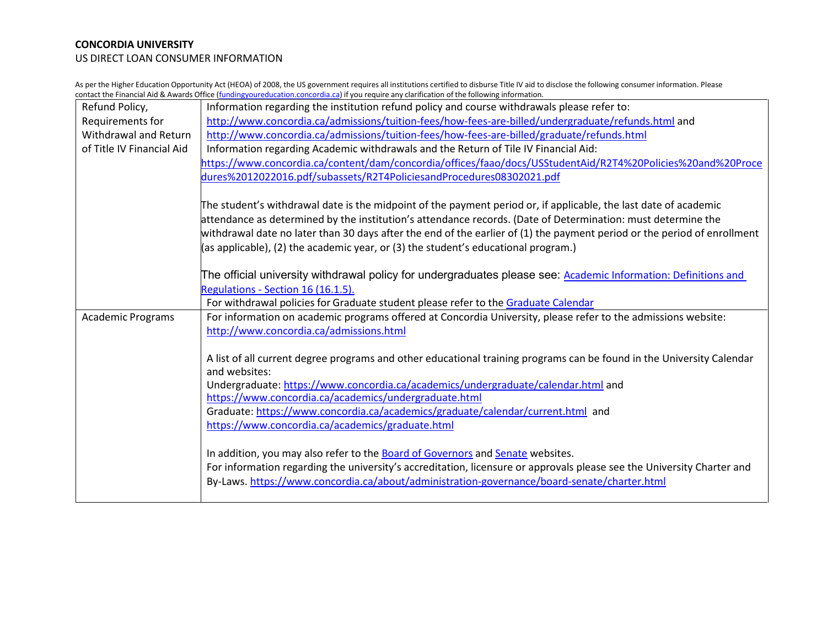| Refund Policy,            | Information regarding the institution refund policy and course withdrawals please refer to:                              |
|---------------------------|--------------------------------------------------------------------------------------------------------------------------|
| Requirements for          | http://www.concordia.ca/admissions/tuition-fees/how-fees-are-billed/undergraduate/refunds.html and                       |
| Withdrawal and Return     | http://www.concordia.ca/admissions/tuition-fees/how-fees-are-billed/graduate/refunds.html                                |
| of Title IV Financial Aid | Information regarding Academic withdrawals and the Return of Tile IV Financial Aid:                                      |
|                           | https://www.concordia.ca/content/dam/concordia/offices/faao/docs/USStudentAid/R2T4%20Policies%20and%20Proce              |
|                           | dures%2012022016.pdf/subassets/R2T4PoliciesandProcedures08302021.pdf                                                     |
|                           |                                                                                                                          |
|                           | The student's withdrawal date is the midpoint of the payment period or, if applicable, the last date of academic         |
|                           | attendance as determined by the institution's attendance records. (Date of Determination: must determine the             |
|                           | withdrawal date no later than 30 days after the end of the earlier of (1) the payment period or the period of enrollment |
|                           | (as applicable), (2) the academic year, or (3) the student's educational program.)                                       |
|                           |                                                                                                                          |
|                           | The official university withdrawal policy for undergraduates please see: <u>Academic Information: Definitions and</u>    |
|                           | Regulations - Section 16 (16.1.5).                                                                                       |
|                           | For withdrawal policies for Graduate student please refer to the Graduate Calendar                                       |
| <b>Academic Programs</b>  | For information on academic programs offered at Concordia University, please refer to the admissions website:            |
|                           | http://www.concordia.ca/admissions.html                                                                                  |
|                           |                                                                                                                          |
|                           | A list of all current degree programs and other educational training programs can be found in the University Calendar    |
|                           | and websites:                                                                                                            |
|                           | Undergraduate: https://www.concordia.ca/academics/undergraduate/calendar.html and                                        |
|                           | https://www.concordia.ca/academics/undergraduate.html                                                                    |
|                           | Graduate: https://www.concordia.ca/academics/graduate/calendar/current.html and                                          |
|                           | https://www.concordia.ca/academics/graduate.html                                                                         |
|                           |                                                                                                                          |
|                           | In addition, you may also refer to the Board of Governors and Senate websites.                                           |
|                           | For information regarding the university's accreditation, licensure or approvals please see the University Charter and   |
|                           | By-Laws. https://www.concordia.ca/about/administration-governance/board-senate/charter.html                              |
|                           |                                                                                                                          |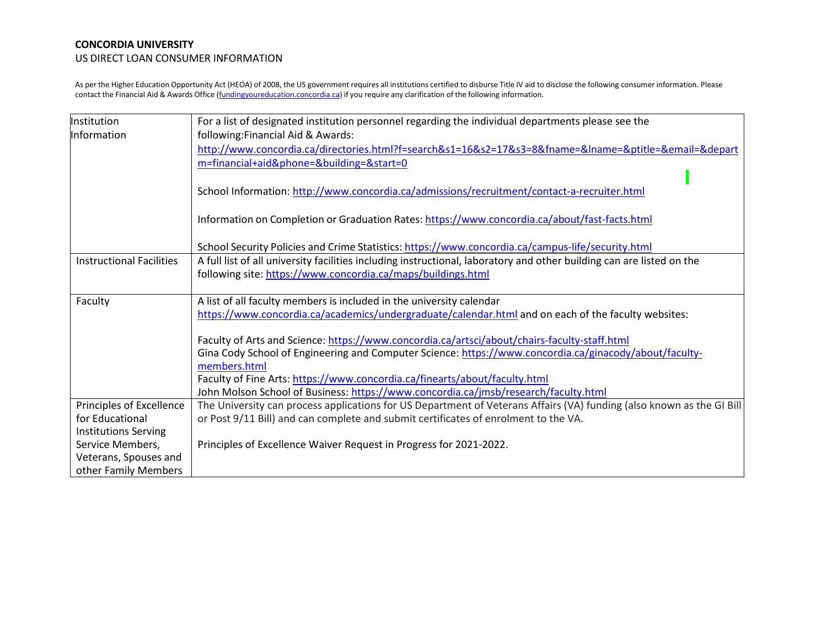| Institution                     | For a list of designated institution personnel regarding the individual departments please see the                    |
|---------------------------------|-----------------------------------------------------------------------------------------------------------------------|
| Information                     | following: Financial Aid & Awards:                                                                                    |
|                                 | http://www.concordia.ca/directories.html?f=search&s1=16&s2=17&s3=8&fname=&lname=&ptitle=&email=&depart                |
|                                 | m=financial+aid☎=&building=&start=0                                                                                   |
|                                 |                                                                                                                       |
|                                 | School Information: http://www.concordia.ca/admissions/recruitment/contact-a-recruiter.html                           |
|                                 |                                                                                                                       |
|                                 | Information on Completion or Graduation Rates: https://www.concordia.ca/about/fast-facts.html                         |
|                                 |                                                                                                                       |
|                                 | School Security Policies and Crime Statistics: https://www.concordia.ca/campus-life/security.html                     |
| <b>Instructional Facilities</b> | A full list of all university facilities including instructional, laboratory and other building can are listed on the |
|                                 | following site: https://www.concordia.ca/maps/buildings.html                                                          |
|                                 |                                                                                                                       |
| Faculty                         | A list of all faculty members is included in the university calendar                                                  |
|                                 | https://www.concordia.ca/academics/undergraduate/calendar.html and on each of the faculty websites:                   |
|                                 |                                                                                                                       |
|                                 | Faculty of Arts and Science: https://www.concordia.ca/artsci/about/chairs-faculty-staff.html                          |
|                                 | Gina Cody School of Engineering and Computer Science: https://www.concordia.ca/ginacody/about/faculty-                |
|                                 | members.html                                                                                                          |
|                                 | Faculty of Fine Arts: https://www.concordia.ca/finearts/about/faculty.html                                            |
|                                 | John Molson School of Business: https://www.concordia.ca/jmsb/research/faculty.html                                   |
| Principles of Excellence        | The University can process applications for US Department of Veterans Affairs (VA) funding (also known as the GI Bill |
| for Educational                 | or Post 9/11 Bill) and can complete and submit certificates of enrolment to the VA.                                   |
| <b>Institutions Serving</b>     |                                                                                                                       |
| Service Members,                | Principles of Excellence Waiver Request in Progress for 2021-2022.                                                    |
| Veterans, Spouses and           |                                                                                                                       |
| other Family Members            |                                                                                                                       |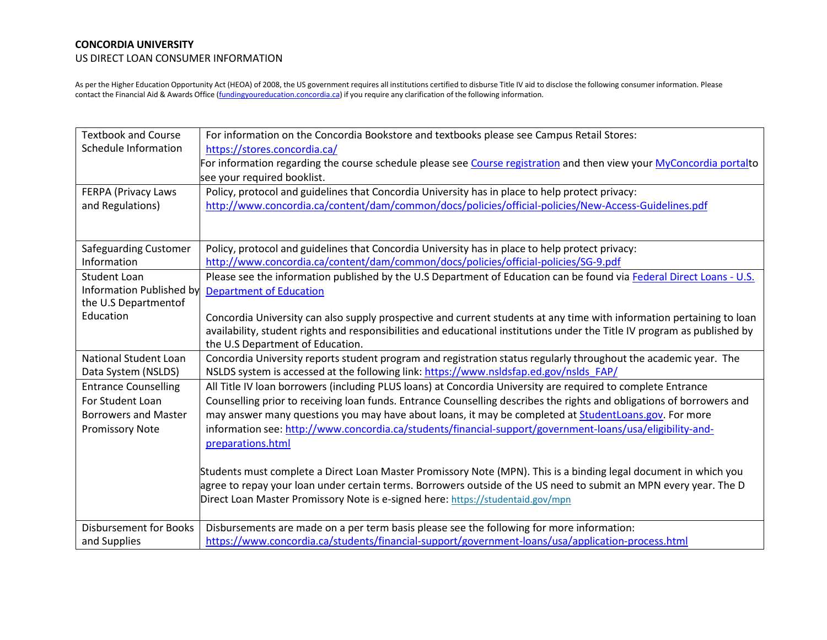| <b>Textbook and Course</b>    | For information on the Concordia Bookstore and textbooks please see Campus Retail Stores:                                 |
|-------------------------------|---------------------------------------------------------------------------------------------------------------------------|
| Schedule Information          | https://stores.concordia.ca/                                                                                              |
|                               | For information regarding the course schedule please see Course registration and then view your MyConcordia portalto      |
|                               | see your required booklist.                                                                                               |
| <b>FERPA (Privacy Laws</b>    | Policy, protocol and guidelines that Concordia University has in place to help protect privacy:                           |
| and Regulations)              | http://www.concordia.ca/content/dam/common/docs/policies/official-policies/New-Access-Guidelines.pdf                      |
|                               |                                                                                                                           |
|                               |                                                                                                                           |
| Safeguarding Customer         | Policy, protocol and guidelines that Concordia University has in place to help protect privacy:                           |
| Information                   | http://www.concordia.ca/content/dam/common/docs/policies/official-policies/SG-9.pdf                                       |
| <b>Student Loan</b>           | Please see the information published by the U.S Department of Education can be found via Federal Direct Loans - U.S.      |
| Information Published by      | <b>Department of Education</b>                                                                                            |
| the U.S Departmentof          |                                                                                                                           |
| Education                     | Concordia University can also supply prospective and current students at any time with information pertaining to loan     |
|                               | availability, student rights and responsibilities and educational institutions under the Title IV program as published by |
|                               | the U.S Department of Education.                                                                                          |
| <b>National Student Loan</b>  | Concordia University reports student program and registration status regularly throughout the academic year. The          |
| Data System (NSLDS)           | NSLDS system is accessed at the following link: https://www.nsldsfap.ed.gov/nslds FAP/                                    |
| <b>Entrance Counselling</b>   | All Title IV loan borrowers (including PLUS loans) at Concordia University are required to complete Entrance              |
| For Student Loan              | Counselling prior to receiving loan funds. Entrance Counselling describes the rights and obligations of borrowers and     |
| <b>Borrowers and Master</b>   | may answer many questions you may have about loans, it may be completed at StudentLoans.gov. For more                     |
| <b>Promissory Note</b>        | information see: http://www.concordia.ca/students/financial-support/government-loans/usa/eligibility-and-                 |
|                               | preparations.html                                                                                                         |
|                               |                                                                                                                           |
|                               | Students must complete a Direct Loan Master Promissory Note (MPN). This is a binding legal document in which you          |
|                               | agree to repay your loan under certain terms. Borrowers outside of the US need to submit an MPN every year. The D         |
|                               | Direct Loan Master Promissory Note is e-signed here: https://studentaid.gov/mpn                                           |
|                               |                                                                                                                           |
| <b>Disbursement for Books</b> | Disbursements are made on a per term basis please see the following for more information:                                 |
| and Supplies                  | https://www.concordia.ca/students/financial-support/government-loans/usa/application-process.html                         |